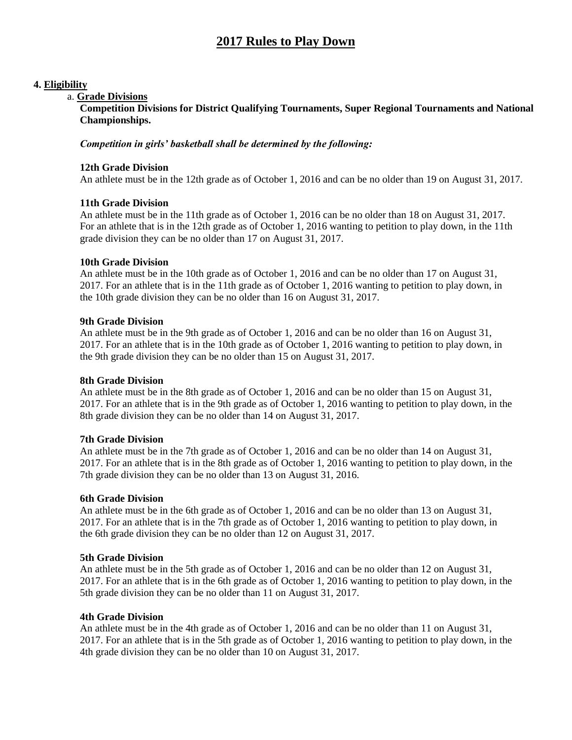# **2017 Rules to Play Down**

# **4. Eligibility**

# a. **Grade Divisions**

**Competition Divisions for District Qualifying Tournaments, Super Regional Tournaments and National Championships.**

#### *Competition in girls' basketball shall be determined by the following:*

### **12th Grade Division**

An athlete must be in the 12th grade as of October 1, 2016 and can be no older than 19 on August 31, 2017.

# **11th Grade Division**

An athlete must be in the 11th grade as of October 1, 2016 can be no older than 18 on August 31, 2017. For an athlete that is in the 12th grade as of October 1, 2016 wanting to petition to play down, in the 11th grade division they can be no older than 17 on August 31, 2017.

#### **10th Grade Division**

An athlete must be in the 10th grade as of October 1, 2016 and can be no older than 17 on August 31, 2017. For an athlete that is in the 11th grade as of October 1, 2016 wanting to petition to play down, in the 10th grade division they can be no older than 16 on August 31, 2017.

#### **9th Grade Division**

An athlete must be in the 9th grade as of October 1, 2016 and can be no older than 16 on August 31, 2017. For an athlete that is in the 10th grade as of October 1, 2016 wanting to petition to play down, in the 9th grade division they can be no older than 15 on August 31, 2017.

#### **8th Grade Division**

An athlete must be in the 8th grade as of October 1, 2016 and can be no older than 15 on August 31, 2017. For an athlete that is in the 9th grade as of October 1, 2016 wanting to petition to play down, in the 8th grade division they can be no older than 14 on August 31, 2017.

#### **7th Grade Division**

An athlete must be in the 7th grade as of October 1, 2016 and can be no older than 14 on August 31, 2017. For an athlete that is in the 8th grade as of October 1, 2016 wanting to petition to play down, in the 7th grade division they can be no older than 13 on August 31, 2016.

#### **6th Grade Division**

An athlete must be in the 6th grade as of October 1, 2016 and can be no older than 13 on August 31, 2017. For an athlete that is in the 7th grade as of October 1, 2016 wanting to petition to play down, in the 6th grade division they can be no older than 12 on August 31, 2017.

#### **5th Grade Division**

An athlete must be in the 5th grade as of October 1, 2016 and can be no older than 12 on August 31, 2017. For an athlete that is in the 6th grade as of October 1, 2016 wanting to petition to play down, in the 5th grade division they can be no older than 11 on August 31, 2017.

#### **4th Grade Division**

An athlete must be in the 4th grade as of October 1, 2016 and can be no older than 11 on August 31, 2017. For an athlete that is in the 5th grade as of October 1, 2016 wanting to petition to play down, in the 4th grade division they can be no older than 10 on August 31, 2017.